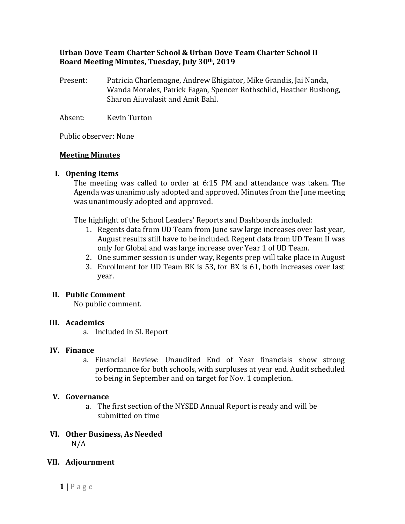# **Urban Dove Team Charter School & Urban Dove Team Charter School II Board Meeting Minutes, Tuesday, July 30th, 2019**

- Present: Patricia Charlemagne, Andrew Ehigiator, Mike Grandis, Jai Nanda, Wanda Morales, Patrick Fagan, Spencer Rothschild, Heather Bushong, Sharon Aiuvalasit and Amit Bahl.
- Absent: Kevin Turton

Public observer: None

### **Meeting Minutes**

### **I. Opening Items**

The meeting was called to order at 6:15 PM and attendance was taken. The Agenda was unanimously adopted and approved. Minutes from the June meeting was unanimously adopted and approved.

The highlight of the School Leaders' Reports and Dashboards included:

- 1. Regents data from UD Team from June saw large increases over last year, August results still have to be included. Regent data from UD Team II was only for Global and was large increase over Year 1 of UD Team.
- 2. One summer session is under way, Regents prep will take place in August
- 3. Enrollment for UD Team BK is 53, for BX is 61, both increases over last year.

# **II. Public Comment**

No public comment.

#### **III. Academics**

a. Included in SL Report

#### **IV. Finance**

a. Financial Review: Unaudited End of Year financials show strong performance for both schools, with surpluses at year end. Audit scheduled to being in September and on target for Nov. 1 completion.

# **V. Governance**

a. The first section of the NYSED Annual Report is ready and will be submitted on time

#### **VI. Other Business, As Needed**  $N/A$

# **VII. Adjournment**